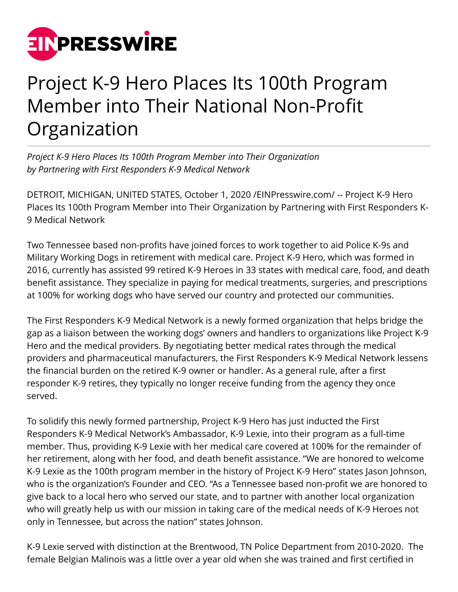

## Project K-9 Hero Places Its 100th Program Member into Their National Non-Profit Organization

*Project K-9 Hero Places Its 100th Program Member into Their Organization by Partnering with First Responders K-9 Medical Network*

DETROIT, MICHIGAN, UNITED STATES, October 1, 2020 [/EINPresswire.com](http://www.einpresswire.com)/ -- Project K-9 Hero Places Its 100th Program Member into Their Organization by Partnering with First Responders K-9 Medical Network

Two Tennessee based non-profits have joined forces to work together to aid Police K-9s and Military Working Dogs in retirement with medical care. Project K-9 Hero, which was formed in 2016, currently has assisted 99 retired K-9 Heroes in 33 states with medical care, food, and death benefit assistance. They specialize in paying for medical treatments, surgeries, and prescriptions at 100% for working dogs who have served our country and protected our communities.

The First Responders K-9 Medical Network is a newly formed organization that helps bridge the gap as a liaison between the working dogs' owners and handlers to organizations like Project K-9 Hero and the medical providers. By negotiating better medical rates through the medical providers and pharmaceutical manufacturers, the First Responders K-9 Medical Network lessens the financial burden on the retired K-9 owner or handler. As a general rule, after a first responder K-9 retires, they typically no longer receive funding from the agency they once served.

To solidify this newly formed partnership, Project K-9 Hero has just inducted the First Responders K-9 Medical Network's Ambassador, K-9 Lexie, into their program as a full-time member. Thus, providing K-9 Lexie with her medical care covered at 100% for the remainder of her retirement, along with her food, and death benefit assistance. "We are honored to welcome K-9 Lexie as the 100th program member in the history of Project K-9 Hero" states Jason Johnson, who is the organization's Founder and CEO. "As a Tennessee based non-profit we are honored to give back to a local hero who served our state, and to partner with another local organization who will greatly help us with our mission in taking care of the medical needs of K-9 Heroes not only in Tennessee, but across the nation" states Johnson.

K-9 Lexie served with distinction at the Brentwood, TN Police Department from 2010-2020. The female Belgian Malinois was a little over a year old when she was trained and first certified in